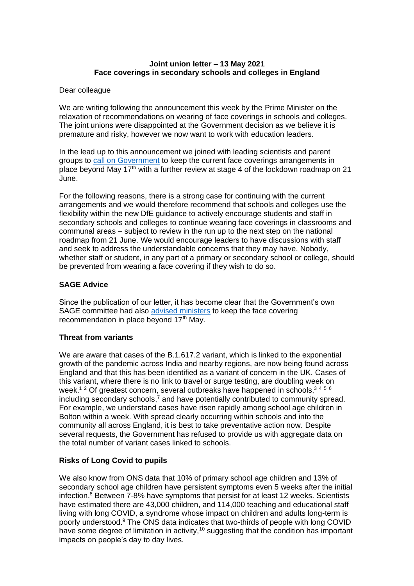# **Joint union letter – 13 May 2021 Face coverings in secondary schools and colleges in England**

#### Dear colleague

We are writing following the announcement this week by the Prime Minister on the relaxation of recommendations on wearing of face coverings in schools and colleges. The joint unions were disappointed at the Government decision as we believe it is premature and risky, however we now want to work with education leaders.

In the lead up to this announcement we joined with leading scientists and parent groups to [call on Government](https://drive.google.com/file/d/1CxvDONXSEUmopWbjUNwxuXqNBF0ooUz4/view) to keep the current face coverings arrangements in place beyond May 17<sup>th</sup> with a further review at stage 4 of the lockdown roadmap on 21 June.

For the following reasons, there is a strong case for continuing with the current arrangements and we would therefore recommend that schools and colleges use the flexibility within the new DfE guidance to actively encourage students and staff in secondary schools and colleges to continue wearing face coverings in classrooms and communal areas – subject to review in the run up to the next step on the national roadmap from 21 June. We would encourage leaders to have discussions with staff and seek to address the understandable concerns that they may have. Nobody, whether staff or student, in any part of a primary or secondary school or college, should be prevented from wearing a face covering if they wish to do so.

## **SAGE Advice**

Since the publication of our letter, it has become clear that the Government's own SAGE committee had also [advised ministers](https://www.theguardian.com/education/2021/may/07/pupils-should-keep-wearing-masks-into-the-summer-sage-told-ministers) to keep the face covering recommendation in place beyond  $17<sup>th</sup>$  May.

## **Threat from variants**

We are aware that cases of the B.1.617.2 variant, which is linked to the exponential growth of the pandemic across India and nearby regions, are now being found across England and that this has been identified as a variant of concern in the UK. Cases of this variant, where there is no link to travel or surge testing, are doubling week on week.<sup>12</sup> Of greatest concern, several outbreaks have happened in schools,<sup>3456</sup> including secondary schools, $<sup>7</sup>$  and have potentially contributed to community spread.</sup> For example, we understand cases have risen rapidly among school age children in Bolton within a week. With spread clearly occurring within schools and into the community all across England, it is best to take preventative action now. Despite several requests, the Government has refused to provide us with aggregate data on the total number of variant cases linked to schools.

## **Risks of Long Covid to pupils**

We also know from ONS data that 10% of primary school age children and 13% of secondary school age children have persistent symptoms even 5 weeks after the initial infection. $8$  Between  $7$ -8% have symptoms that persist for at least 12 weeks. Scientists have estimated there are 43,000 children, and 114,000 teaching and educational staff living with long COVID, a syndrome whose impact on children and adults long-term is poorly understood.<sup>9</sup> The ONS data indicates that two-thirds of people with long COVID have some degree of limitation in activity,  $10$  suggesting that the condition has important impacts on people's day to day lives.